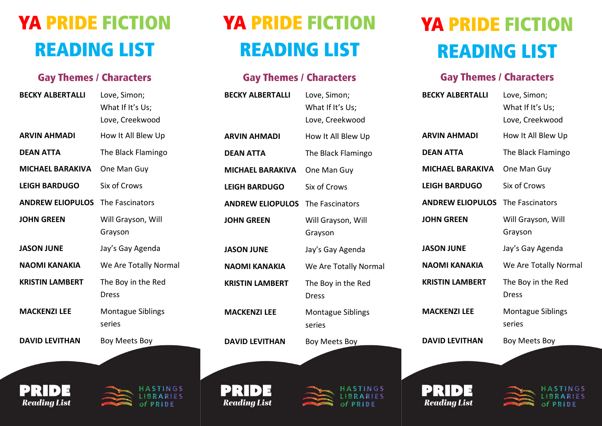## **YA PRIDE FICTION READING LIST**

## **Gay Themes / Characters**

| <b>BECKY ALBERTALLI</b> | Love, Simon;             |
|-------------------------|--------------------------|
|                         | What If It's Us;         |
|                         | Love, Creekwood          |
| <b>ARVIN AHMADI</b>     | How It All Blew Up       |
| <b>DEAN ATTA</b>        | The Black Flamingo       |
| <b>MICHAEL BARAKIVA</b> | One Man Guy              |
| <b>LEIGH BARDUGO</b>    | Six of Crows             |
| <b>ANDREW ELIOPULOS</b> | The Fascinators          |
| <b>JOHN GREEN</b>       | Will Grayson, Will       |
|                         | Grayson                  |
| <b>JASON JUNE</b>       | Jay's Gay Agenda         |
| <b>NAOMI KANAKIA</b>    | We Are Totally Normal    |
| <b>KRISTIN LAMBERT</b>  | The Boy in the Red       |
|                         | Dress                    |
| <b>MACKENZI LEE</b>     | <b>Montague Siblings</b> |
|                         | series                   |
| <b>DAVID LEVITHAN</b>   | Boy Meets Boy            |
|                         |                          |





NGS **RIES** PRIDE